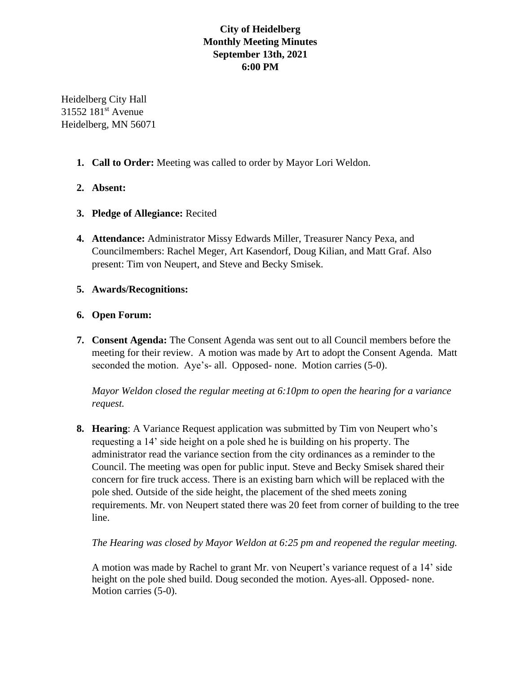# **City of Heidelberg Monthly Meeting Minutes September 13th, 2021 6:00 PM**

Heidelberg City Hall 31552 181<sup>st</sup> Avenue Heidelberg, MN 56071

**1. Call to Order:** Meeting was called to order by Mayor Lori Weldon.

# **2. Absent:**

- **3. Pledge of Allegiance:** Recited
- **4. Attendance:** Administrator Missy Edwards Miller, Treasurer Nancy Pexa, and Councilmembers: Rachel Meger, Art Kasendorf, Doug Kilian, and Matt Graf. Also present: Tim von Neupert, and Steve and Becky Smisek.

### **5. Awards/Recognitions:**

### **6. Open Forum:**

**7. Consent Agenda:** The Consent Agenda was sent out to all Council members before the meeting for their review. A motion was made by Art to adopt the Consent Agenda. Matt seconded the motion. Aye's- all. Opposed- none. Motion carries (5-0).

*Mayor Weldon closed the regular meeting at 6:10pm to open the hearing for a variance request.*

**8. Hearing**: A Variance Request application was submitted by Tim von Neupert who's requesting a 14' side height on a pole shed he is building on his property. The administrator read the variance section from the city ordinances as a reminder to the Council. The meeting was open for public input. Steve and Becky Smisek shared their concern for fire truck access. There is an existing barn which will be replaced with the pole shed. Outside of the side height, the placement of the shed meets zoning requirements. Mr. von Neupert stated there was 20 feet from corner of building to the tree line.

*The Hearing was closed by Mayor Weldon at 6:25 pm and reopened the regular meeting.*

A motion was made by Rachel to grant Mr. von Neupert's variance request of a 14' side height on the pole shed build. Doug seconded the motion. Ayes-all. Opposed- none. Motion carries (5-0).